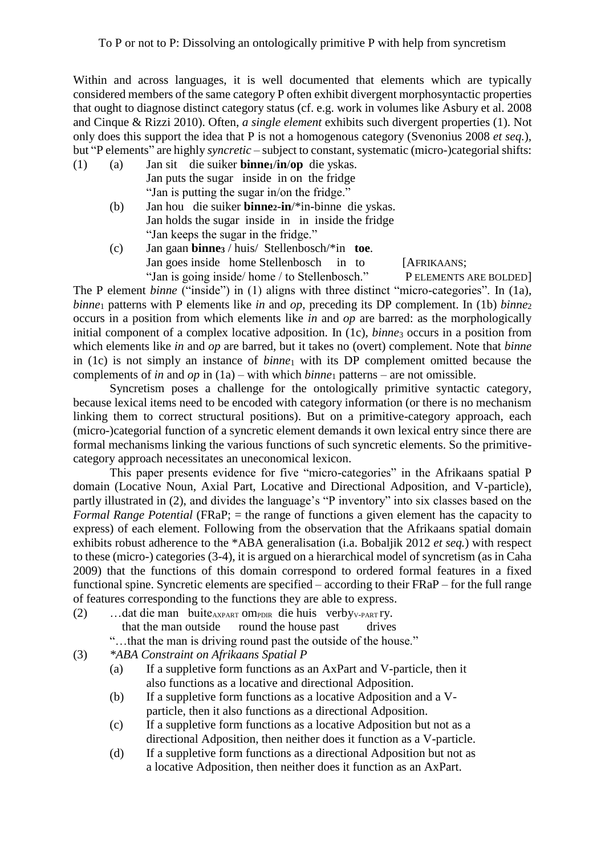Within and across languages, it is well documented that elements which are typically considered members of the same category P often exhibit divergent morphosyntactic properties that ought to diagnose distinct category status (cf. e.g. work in volumes like Asbury et al. 2008 and Cinque & Rizzi 2010). Often, *a single element* exhibits such divergent properties (1). Not only does this support the idea that P is not a homogenous category (Svenonius 2008 *et seq.*), but "P elements" are highly *syncretic* – subject to constant, systematic (micro-)categorial shifts:

- (1) (a) Jan sit die suiker **binne1**/**in**/**op** die yskas. Jan puts the sugar inside in on the fridge "Jan is putting the sugar in/on the fridge."
	- (b) Jan hou die suiker **binne2**-**in**/\*in-binne die yskas. Jan holds the sugar inside in in inside the fridge "Jan keeps the sugar in the fridge."
	- (c) Jan gaan **binne<sup>3</sup>** / huis/ Stellenbosch/\*in **toe**. Jan goes inside home Stellenbosch in to [AFRIKAANS; "Jan is going inside/ home / to Stellenbosch." P ELEMENTS ARE BOLDED

The P element *binne* ("inside") in (1) aligns with three distinct "micro-categories". In (1a), *binne*<sub>1</sub> patterns with P elements like *in* and *op*, preceding its DP complement. In (1b) *binne*<sub>2</sub> occurs in a position from which elements like *in* and *op* are barred: as the morphologically initial component of a complex locative adposition. In (1c), *binne*<sub>3</sub> occurs in a position from which elements like *in* and *op* are barred, but it takes no (overt) complement. Note that *binne*  in (1c) is not simply an instance of *binne*<sup>1</sup> with its DP complement omitted because the complements of *in* and *op* in (1a) – with which *binne*<sup>1</sup> patterns – are not omissible.

Syncretism poses a challenge for the ontologically primitive syntactic category, because lexical items need to be encoded with category information (or there is no mechanism linking them to correct structural positions). But on a primitive-category approach, each (micro-)categorial function of a syncretic element demands it own lexical entry since there are formal mechanisms linking the various functions of such syncretic elements. So the primitivecategory approach necessitates an uneconomical lexicon.

This paper presents evidence for five "micro-categories" in the Afrikaans spatial P domain (Locative Noun, Axial Part, Locative and Directional Adposition, and V-particle), partly illustrated in (2), and divides the language's "P inventory" into six classes based on the *Formal Range Potential* (FRaP; = the range of functions a given element has the capacity to express) of each element. Following from the observation that the Afrikaans spatial domain exhibits robust adherence to the \*ABA generalisation (i.a. Bobaljik 2012 *et seq.*) with respect to these (micro-) categories (3-4), it is argued on a hierarchical model of syncretism (as in Caha 2009) that the functions of this domain correspond to ordered formal features in a fixed functional spine. Syncretic elements are specified – according to their FRaP – for the full range of features corresponding to the functions they are able to express.

- (2) …dat die man buite<sub>AXPART</sub> om<sub>PDIR</sub> die huis verby<sub>V-PART</sub> ry. that the man outside round the house past drives
- "…that the man is driving round past the outside of the house."
- (3) *\*ABA Constraint on Afrikaans Spatial P*
	- (a) If a suppletive form functions as an AxPart and V-particle, then it also functions as a locative and directional Adposition.
	- (b) If a suppletive form functions as a locative Adposition and a Vparticle, then it also functions as a directional Adposition.
	- (c) If a suppletive form functions as a locative Adposition but not as a directional Adposition, then neither does it function as a V-particle.
	- (d) If a suppletive form functions as a directional Adposition but not as a locative Adposition, then neither does it function as an AxPart.